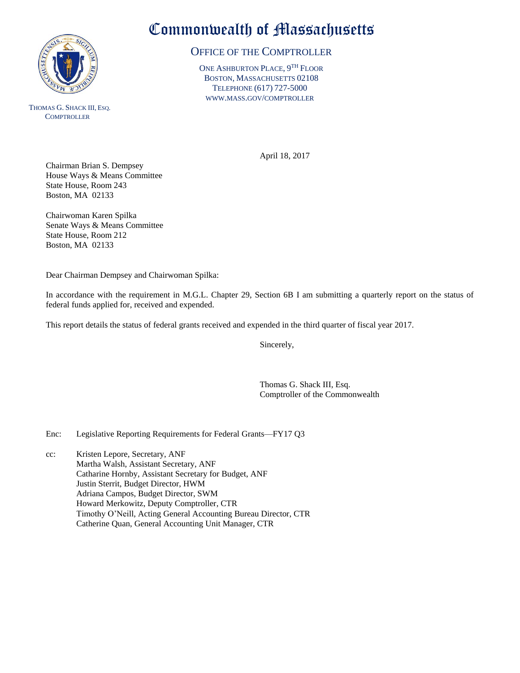

THOMAS G. SHACK III, ESQ. **COMPTROLLER** 

## Commonwealth of Massachusetts

## OFFICE OF THE COMPTROLLER

ONE ASHBURTON PLACE, 9<sup>TH</sup> FLOOR BOSTON, MASSACHUSETTS 02108 TELEPHONE (617) 727-5000 WWW.MASS.GOV/COMPTROLLER

April 18, 2017

Chairman Brian S. Dempsey House Ways & Means Committee State House, Room 243 Boston, MA 02133

Chairwoman Karen Spilka Senate Ways & Means Committee State House, Room 212 Boston, MA 02133

Dear Chairman Dempsey and Chairwoman Spilka:

In accordance with the requirement in M.G.L. Chapter 29, Section 6B I am submitting a quarterly report on the status of federal funds applied for, received and expended.

This report details the status of federal grants received and expended in the third quarter of fiscal year 2017.

Sincerely,

Thomas G. Shack III, Esq. Comptroller of the Commonwealth

Enc: Legislative Reporting Requirements for Federal Grants—FY17 Q3

cc: Kristen Lepore, Secretary, ANF Martha Walsh, Assistant Secretary, ANF Catharine Hornby, Assistant Secretary for Budget, ANF Justin Sterrit, Budget Director, HWM Adriana Campos, Budget Director, SWM Howard Merkowitz, Deputy Comptroller, CTR Timothy O'Neill, Acting General Accounting Bureau Director, CTR Catherine Quan, General Accounting Unit Manager, CTR